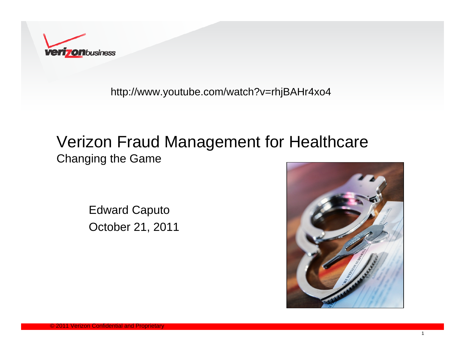

http://www.youtube.com/watch?v=rhjBAHr4xo4

#### Verizon Fraud Management for Healthcare Changing the Game

Edward Caputo October 21, 2011



© 2011 Verizon Confidential and Proprietary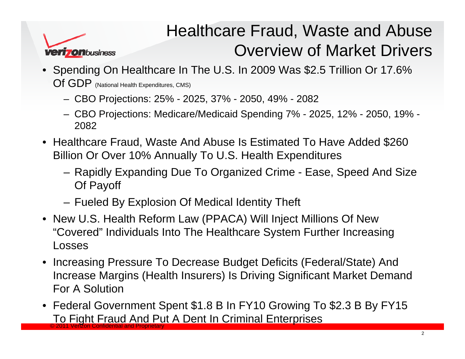

# Healthcare Fraud, Waste and Abuse Overview of Market Drivers

- Spending On Healthcare In The U.S. In 2009 Was \$2.5 Trillion Or 17.6% Of GDP (National Health Expenditures, CMS)
	- CBO Projections: 25% 2025, 37% 2050, 49% 2082
	- CBO Projections: Medicare/Medicaid Spending 7% 2025, 12% 2050, 19% 2082
- Healthcare Fraud, Waste And Abuse Is Estimated To Have Added \$260 Billion Or Over 10% Annually To U.S. Health Expenditures
	- Rapidly Expanding Due To Organized Crime Ease, Speed And Size Of Payoff
	- Fueled By Explosion Of Medical Identity Theft
- New U.S. Health Reform Law (PPACA) Will Inject Millions Of New "Covered" Individuals Into The Healthcare System Further Increasing Losses
- Increasing Pressure To Decrease Budget Deficits (Federal/State) And Increase Margins (Health Insurers) Is Driving Significant Market Demand For A Solution
- © 2011 Verizon Confidential and Proprietary • Federal Government Spent \$1.8 B In FY10 Growing To \$2.3 B By FY15 To Fight Fraud And Put A Dent In Criminal Enterprises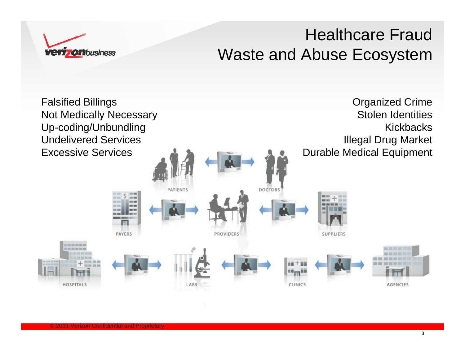

#### Healthcare FraudWaste and Abuse Ecosystem

Falsified Billings Organized Crime Not Medically Necessary Stolen IdentitiesUp-coding/Unbundling KickbacksIllegal Drug Market Undelivered Services Durable Medical EquipmentExcessive Services**DOCTORS** PAYERS **PROVIDERS** SUPPLIERS **COLOR OF THE ART** 11. 2012. 2013. 2013. 2013 iii<sub>m</sub>ii **HOSPITALS** CLINICS **AGENCIES** LABS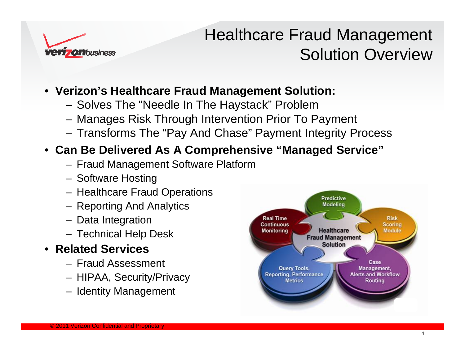

## Healthcare Fraud Management Solution Overview

#### • **Verizon's Healthcare Fraud Management Solution:**

- Solves The "Needle In The Haystack" Problem
- Manages Risk Through Intervention Prior To Payment
- Transforms The "Pay And Chase" Payment Integrity Process

#### • **Can Be Delivered As A Comprehensive "Managed Service"**

- Fraud Management Software Platform
- Software Hosting
- Healthcare Fraud Operations
- Reporting And Analytics
- Data Integration
- Technical Help Desk

#### • **Related Services**

- Fraud Assessment
- HIPAA, Security/Privacy
- Identity Management

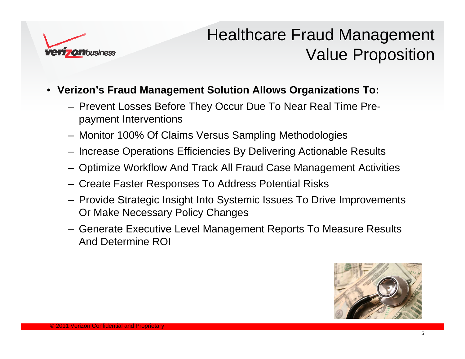

## Healthcare Fraud Management Value Proposition

- **Verizon's Fraud Management Solution Allows Organizations To:**
	- Prevent Losses Before They Occur Due To Near Real Time Prepayment Interventions
	- Monitor 100% Of Claims Versus Sampling Methodologies
	- Increase Operations Efficiencies By Delivering Actionable Results
	- Optimize Workflow And Track All Fraud Case Management Activities
	- Create Faster Responses To Address Potential Risks
	- Provide Strategic Insight Into Systemic Issues To Drive Improvements Or Make Necessary Policy Changes
	- Generate Executive Level Management Reports To Measure Results And Determine ROI

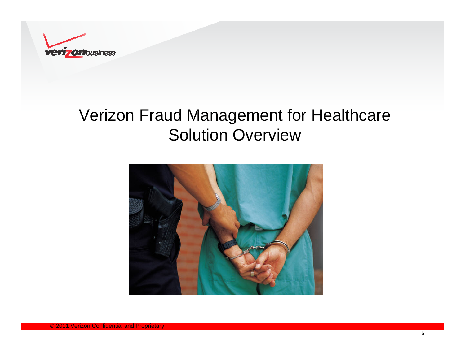

# Verizon Fraud Management for Healthcare Solution Overview

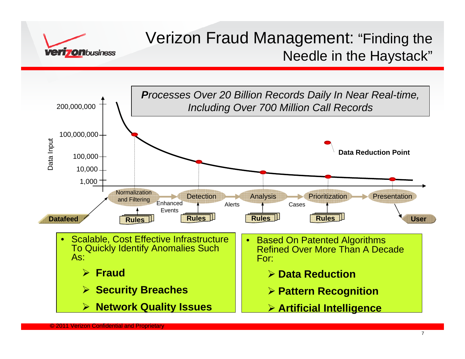

#### Verizon Fraud Management: "Finding the Needle in the Haystack"

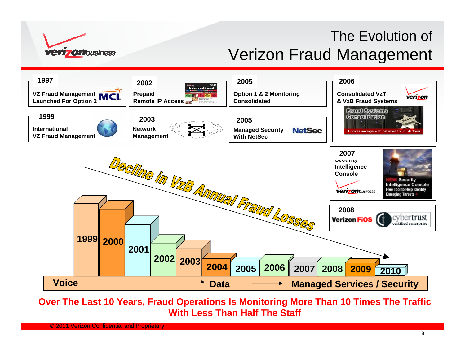

#### The Evolution of Verizon Fraud Management



#### **Over The Last 10 Years, Fraud Operations Is Monitoring More Than 10 Times The Traffic With Less Than Half The Staff**

© 2011 Verizon Confidential and Proprietary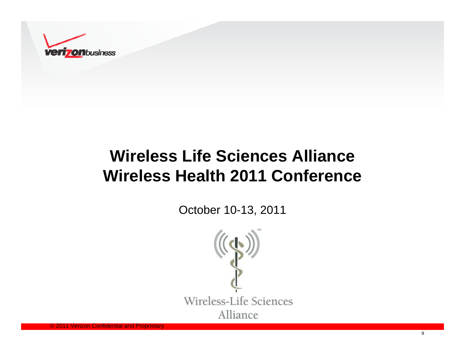

# **Wireless Life Sciences AllianceWireless Health 2011 Conference**

October 10-13, 2011



© 2011 Verizon Confidential and Proprietary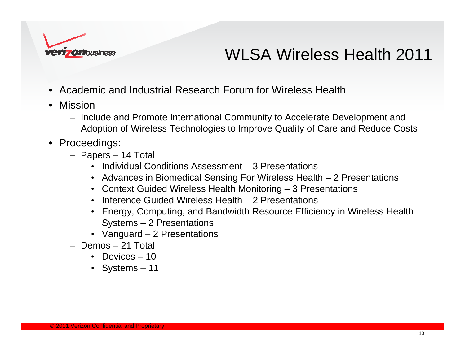

#### WLSA Wireless Health 2011

- Academic and Industrial Research Forum for Wireless Health
- Mission
	- Include and Promote International Community to Accelerate Development and Adoption of Wireless Technologies to Improve Quality of Care and Reduce Costs
- Proceedings:
	- Papers 14 Total
		- Individual Conditions Assessment 3 Presentations
		- Advances in Biomedical Sensing For Wireless Health 2 Presentations
		- Context Guided Wireless Health Monitoring 3 Presentations
		- Inference Guided Wireless Health 2 Presentations
		- Energy, Computing, and Bandwidth Resource Efficiency in Wireless Health Systems – 2 Presentations
		- Vanguard 2 Presentations
	- Demos 21 Total
		- Devices 10
		- Systems 11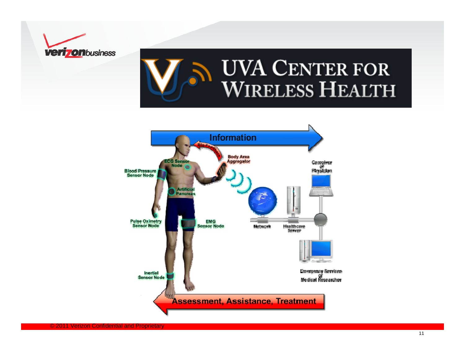

# N UVA CENTER FOR WIRELESS HEALTH

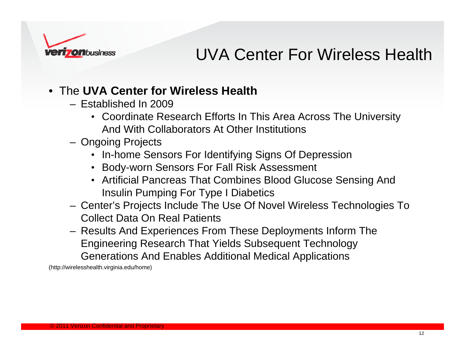

#### UVA Center For Wireless Health

#### • The **UVA Center for Wireless Health**

- Established In 2009
	- Coordinate Research Efforts In This Area Across The University And With Collaborators At Other Institutions
- Ongoing Projects
	- In-home Sensors For Identifying Signs Of Depression
	- Body-worn Sensors For Fall Risk Assessment
	- Artificial Pancreas That Combines Blood Glucose Sensing And Insulin Pumping For Type I Diabetics
- Center's Projects Include The Use Of Novel Wireless Technologies To Collect Data On Real Patients
- Results And Experiences From These Deployments Inform The Engineering Research That Yields Subsequent Technology Generations And Enables Additional Medical Applications

(http://wirelesshealth.virginia.edu/home)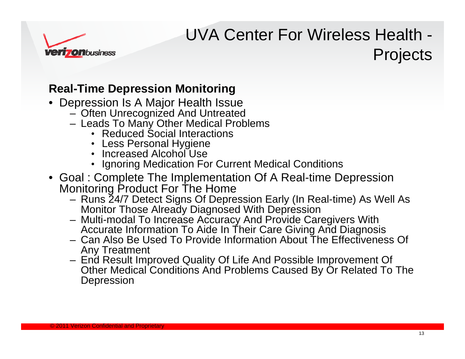

# UVA Center For Wireless Health - **Projects**

#### **Real-Time Depression Monitoring**

- Depression Is A Major Health Issue
	- Often Unrecognized And Untreated
	- Leads To Many Other Medical Problems
		- Reduced Social Interactions
		- •Less Personal Hygiene
		- Increased Alcohol Use
		- Ignoring Medication For Current Medical Conditions
- Goal : Complete The Implementation Of A Real-time Depression Monitoring Product For The Home
	- Runs 24/7 Detect Signs Of Depression Early (In Real-time) As Well As Monitor Those Already Diagnosed With Depression
	- Multi-modal To Increase Accuracy And Provide Caregivers With Accurate Information To Aide In Their Care Giving And Diagnosis
	- Can Also Be Used To Provide Information About The Effectiveness Of Any Treatment
	- End Result Improved Quality Of Life And Possible Improvement Of Other Medical Conditions And Problems Caused By Or Related To The **Depression**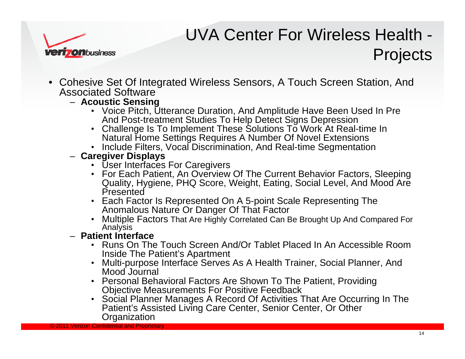

# UVA Center For Wireless Health - **Projects**

- Cohesive Set Of Integrated Wireless Sensors, A Touch Screen Station, And Associated Software
	- **Acoustic Sensing**
		- Voice Pitch, Utterance Duration, And Amplitude Have Been Used In Pre And Post-treatment Studies To Help Detect Signs Depression
		- Challenge Is To Implement These Solutions To Work At Real-time In Natural Home Settings Requires A Number Of Novel Extensions
		- Include Filters, Vocal Discrimination, And Real-time Segmentation
	- **Caregiver Displays**
		- User Interfaces For Caregivers
		- For Each Patient, An Overview Of The Current Behavior Factors, Sleeping Quality, Hygiene, PHQ Score, Weight, Eating, Social Level, And Mood Are Presented
		- Each Factor Is Represented On A 5-point Scale Representing The Anomalous Nature Or Danger Of That Factor
		- Multiple Factors That Are Highly Correlated Can Be Brought Up And Compared For Analysis
	- **Patient Interface**
		- Runs On The Touch Screen And/Or Tablet Placed In An Accessible Room Inside The Patient's Apartment
		- Multi-purpose Interface Serves As A Health Trainer, Social Planner, And Mood Journal
		- Personal Behavioral Factors Are Shown To The Patient, Providing Objective Measurements For Positive Feedback
		- Social Planner Manages A Record Of Activities That Are Occurring In The Patient's Assisted Living Care Center, Senior Center, Or Other **Organization**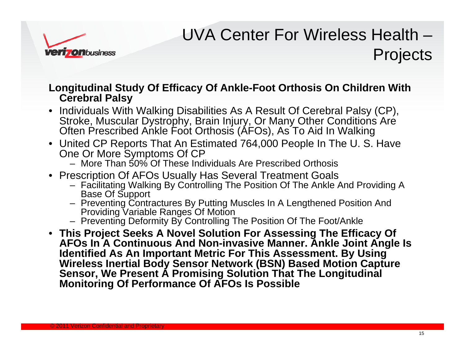

# UVA Center For Wireless Health –**Projects**

#### **Longitudinal Study Of Efficacy Of Ankle-Foot Orthosis On Children With Cerebral Palsy**

- Individuals With Walking Disabilities As A Result Of Cerebral Palsy (CP), Stroke, Muscular Dystrophy, Brain Injury, Or Many Other Conditions Are Often Prescribed Ankle Foot Orthosis (AFOs), As To Aid In Walking
- United CP Reports That An Estimated 764,000 People In The U. S. Have One Or More Symptoms Of CP
	- More Than 50% Of These Individuals Are Prescribed Orthosis
- Prescription Of AFOs Usually Has Several Treatment Goals
	- Facilitating Walking By Controlling The Position Of The Ankle And Providing A Base Of Support
	- Preventing Contractures By Putting Muscles In A Lengthened Position And Providing Variable Ranges Of Motion
	- Preventing Deformity By Controlling The Position Of The Foot/Ankle
- **This Project Seeks A Novel Solution For Assessing The Efficacy Of AFOs In A Continuous And Non-invasive Manner. Ankle Joint Angle Is Identified As An Important Metric For This Assessment. By Using Wireless Inertial Body Sensor Network (BSN) Based Motion Capture Sensor, We Present A Promising Solution That The Longitudinal Monitoring Of Performance Of AFOs Is Possible**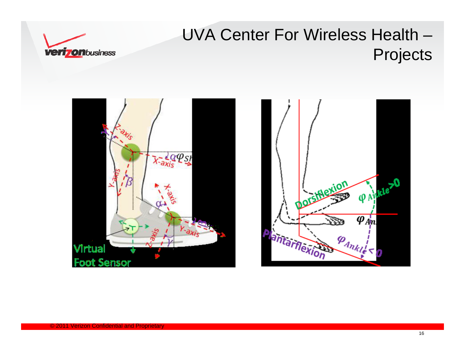

## UVA Center For Wireless Health – Projects



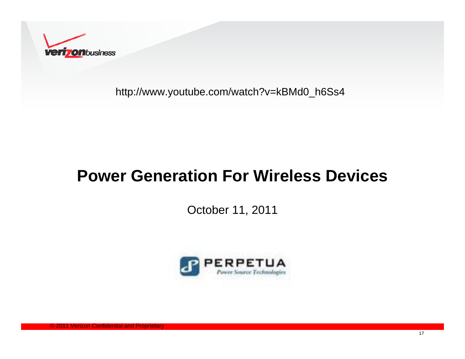

http://www.youtube.com/watch?v=kBMd0\_h6Ss4

#### **Power Generation For Wireless Devices**

October 11, 2011

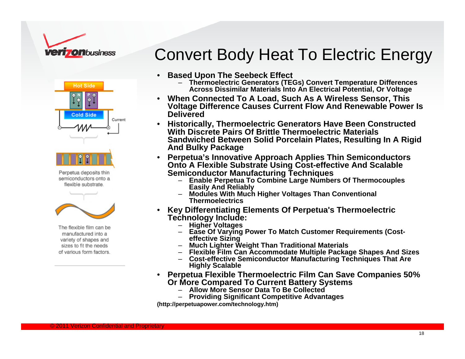





Perpetua deposits thin semiconductors onto a flexible substrate



The flexible film can be manufactured into a variety of shapes and sizes to fit the needs of various form factors.

## Convert Body Heat To Electric Energy

- $\bullet$  **Based Upon The Seebeck Effect**
	- **Thermoelectric Generators (TEGs) Convert Temperature Differences Across Dissimilar Materials Into An Electrical Potential, Or Voltage**
- **When Connected To A Load, Such As A Wireless Sensor, This Voltage Difference Causes Current Flow And Renewable Power Is Delivered**
- $\bullet$  **Historically, Thermoelectric Generators Have Been Constructed With Discrete Pairs Of Brittle Thermoelectric Materials Sandwiched Between Solid Porcelain Plates, Resulting In A Rigid And Bulky Package**
- **Perpetua's Innovative Approach Applies Thin Semiconductors Onto A Flexible Substrate Using Cost-effective And Scalable Semiconductor Manufacturing Techniques**
	- – **Enable Perpetua To Combine Large Numbers Of Thermocouples Easily And Reliably**
	- **Modules With Much Higher Voltages Than Conventional Thermoelectrics**
- **Key Differentiating Elements Of Perpetua's Thermoelectric Technology Include:**
	- **Higher Voltages**
	- **Ease Of Varying Power To Match Customer Requirements (Costeffective Sizing**
	- –**Much Lighter Weight Than Traditional Materials**
	- –**Flexible Film Can Accommodate Multiple Package Shapes And Sizes**
	- **Cost-effective Semiconductor Manufacturing Techniques That Are Highly Scalable**
- **Perpetua Flexible Thermoelectric Film Can Save Companies 50% Or More Compared To Current Battery Systems**
	- **Allow More Sensor Data To Be Collected**
	- **Providing Significant Competitive Advantages**

**(http://perpetuapower.com/technology.htm)**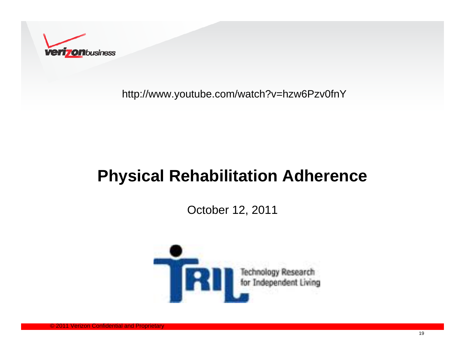

http://www.youtube.com/watch?v=hzw6Pzv0fnY

#### **Physical Rehabilitation Adherence**

October 12, 2011

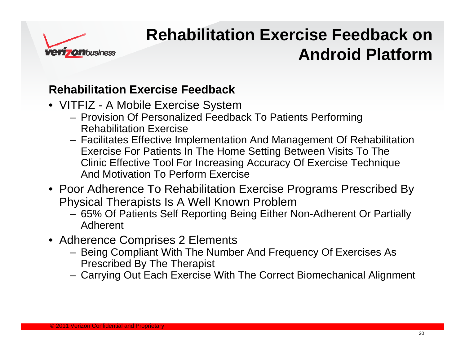

# **Rehabilitation Exercise Feedback on Android Platform**

#### **Rehabilitation Exercise Feedback**

- VITFIZ A Mobile Exercise System
	- Provision Of Personalized Feedback To Patients Performing Rehabilitation Exercise
	- Facilitates Effective Implementation And Management Of Rehabilitation Exercise For Patients In The Home Setting Between Visits To The Clinic Effective Tool For Increasing Accuracy Of Exercise Technique And Motivation To Perform Exercise
- Poor Adherence To Rehabilitation Exercise Programs Prescribed By Physical Therapists Is A Well Known Problem
	- 65% Of Patients Self Reporting Being Either Non-Adherent Or Partially Adherent
- Adherence Comprises 2 Elements
	- Being Compliant With The Number And Frequency Of Exercises As Prescribed By The Therapist
	- Carrying Out Each Exercise With The Correct Biomechanical Alignment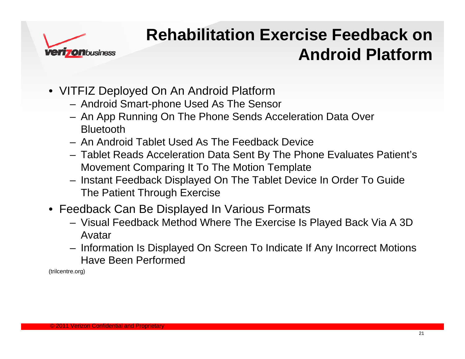

## **Rehabilitation Exercise Feedback on Android Platform**

- VITFIZ Deployed On An Android Platform
	- Android Smart-phone Used As The Sensor
	- An App Running On The Phone Sends Acceleration Data Over Bluetooth
	- An Android Tablet Used As The Feedback Device
	- Tablet Reads Acceleration Data Sent By The Phone Evaluates Patient's Movement Comparing It To The Motion Template
	- Instant Feedback Displayed On The Tablet Device In Order To Guide The Patient Through Exercise
- Feedback Can Be Displayed In Various Formats
	- Visual Feedback Method Where The Exercise Is Played Back Via A 3D Avatar
	- Information Is Displayed On Screen To Indicate If Any Incorrect Motions Have Been Performed

(trilcentre.org)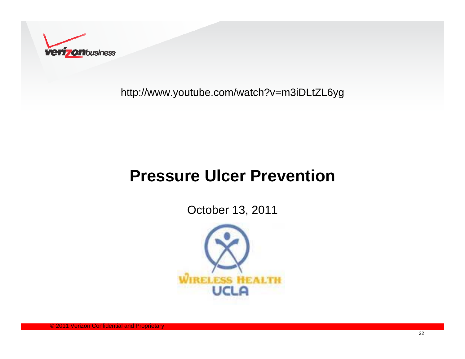

http://www.youtube.com/watch?v=m3iDLtZL6yg

#### **Pressure Ulcer Prevention**

October 13, 2011

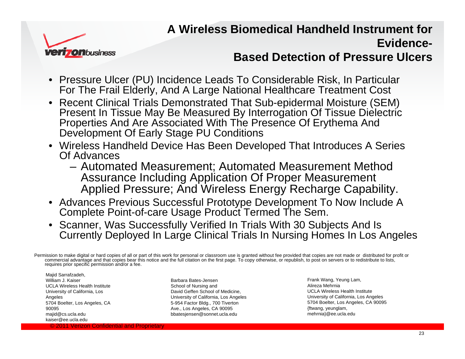

#### **A Wireless Biomedical Handheld Instrument for Evidence-Based Detection of Pressure Ulcers**

- • Pressure Ulcer (PU) Incidence Leads To Considerable Risk, In Particular For The Frail Elderly, And A Large National Healthcare Treatment Cost
- • Recent Clinical Trials Demonstrated That Sub-epidermal Moisture (SEM) Present In Tissue May Be Measured By Interrogation Of Tissue Dielectric Properties And Are Associated With The Presence Of Erythema And Development Of Early Stage PU Conditions
- Wireless Handheld Device Has Been Developed That Introduces A Series Of Advances
	- Automated Measurement; Automated Measurement Method Assurance Including Application Of Proper Measurement Applied Pressure; And Wireless Energy Recharge Capability.
- Advances Previous Successful Prototype Development To Now Include A Complete Point-of-care Usage Product Termed The Sem.
- Scanner, Was Successfully Verified In Trials With 30 Subjects And Is Currently Deployed In Large Clinical Trials In Nursing Homes In Los Angeles

Permission to make digital or hard copies of all or part of this work for personal or classroom use is granted without fee provided that copies are not made or distributed for profit or commercial advantage and that copies bear this notice and the full citation on the first page. To copy otherwise, or republish, to post on servers or to redistribute to lists, requires prior specific permission and/or a fee.

Majid Sarrafzadeh, William J. KaiserUCLA Wireless Health InstituteUniversity of California, Los **Angeles** 5704 Boelter, Los Angeles, CA 90095majid@cs.ucla.edu kaiser@ee.ucla.edu

Barbara Bates-JensenSchool of Nursing and David Geffen School of Medicine, University of California, Los Angeles 5-954 Factor Bldg., 700 Tiverton Ave., Los Angeles, CA 90095 bbatesjensen@sonnet.ucla.edu

Frank Wang, Yeung Lam, Alireza MehrniaUCLA Wireless Health InstituteUniversity of California, Los Angeles 5704 Boelter, Los Angeles, CA 90095 {ftwang, yeunglam, mehrnia}@ee.ucla.edu